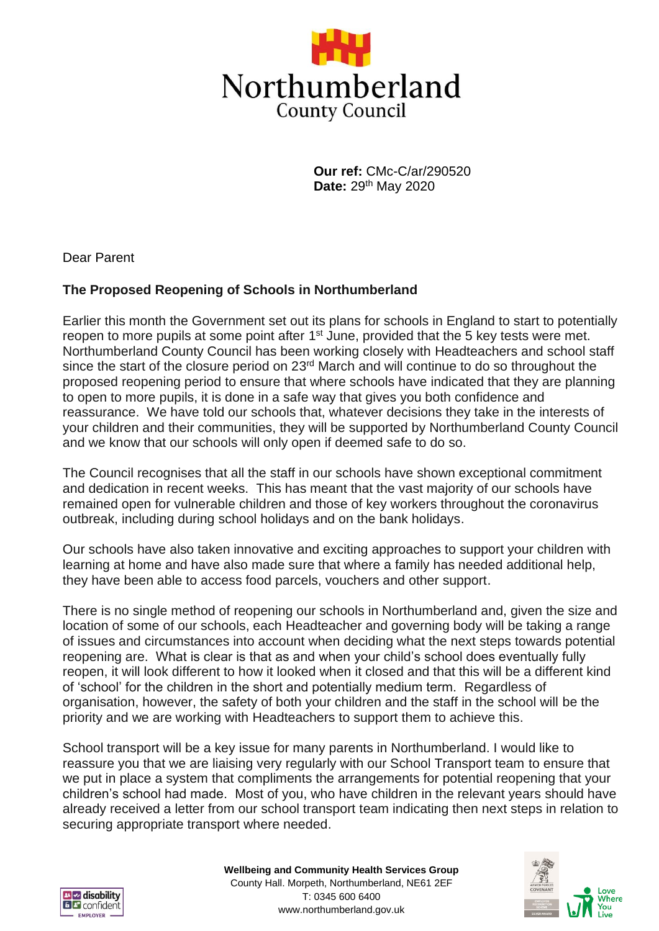

**Our ref:** CMc-C/ar/290520 **Date:** 29th May 2020

Dear Parent

# **The Proposed Reopening of Schools in Northumberland**

Earlier this month the Government set out its plans for schools in England to start to potentially reopen to more pupils at some point after  $1<sup>st</sup>$  June, provided that the 5 key tests were met. Northumberland County Council has been working closely with Headteachers and school staff since the start of the closure period on 23<sup>rd</sup> March and will continue to do so throughout the proposed reopening period to ensure that where schools have indicated that they are planning to open to more pupils, it is done in a safe way that gives you both confidence and reassurance. We have told our schools that, whatever decisions they take in the interests of your children and their communities, they will be supported by Northumberland County Council and we know that our schools will only open if deemed safe to do so.

The Council recognises that all the staff in our schools have shown exceptional commitment and dedication in recent weeks. This has meant that the vast majority of our schools have remained open for vulnerable children and those of key workers throughout the coronavirus outbreak, including during school holidays and on the bank holidays.

Our schools have also taken innovative and exciting approaches to support your children with learning at home and have also made sure that where a family has needed additional help, they have been able to access food parcels, vouchers and other support.

There is no single method of reopening our schools in Northumberland and, given the size and location of some of our schools, each Headteacher and governing body will be taking a range of issues and circumstances into account when deciding what the next steps towards potential reopening are. What is clear is that as and when your child's school does eventually fully reopen, it will look different to how it looked when it closed and that this will be a different kind of 'school' for the children in the short and potentially medium term. Regardless of organisation, however, the safety of both your children and the staff in the school will be the priority and we are working with Headteachers to support them to achieve this.

School transport will be a key issue for many parents in Northumberland. I would like to reassure you that we are liaising very regularly with our School Transport team to ensure that we put in place a system that compliments the arrangements for potential reopening that your children's school had made. Most of you, who have children in the relevant years should have already received a letter from our school transport team indicating then next steps in relation to securing appropriate transport where needed.



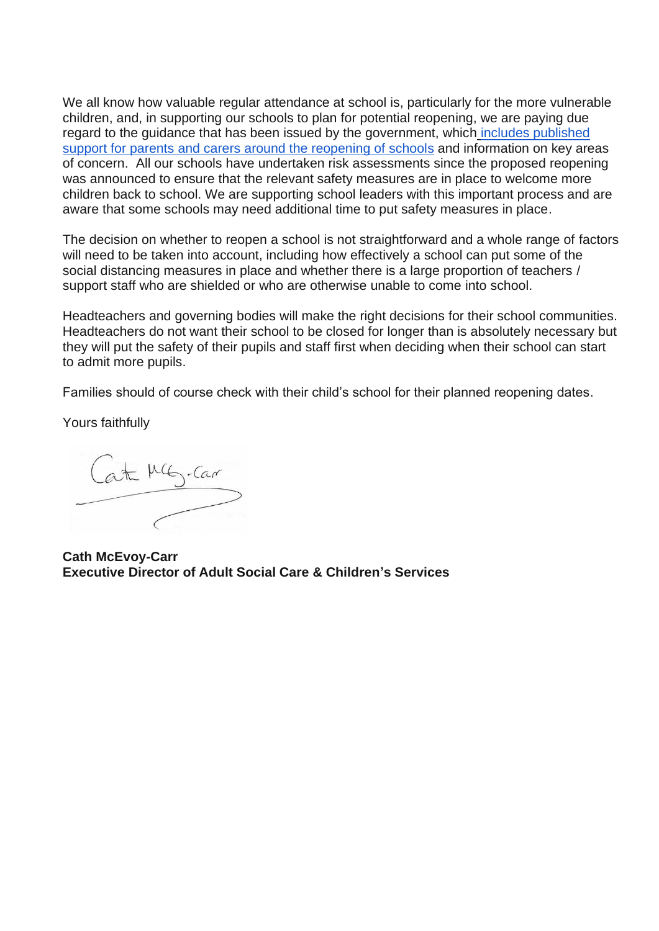We all know how valuable regular attendance at school is, particularly for the more vulnerable children, and, in supporting our schools to plan for potential reopening, we are paying due regard to the guidance that has been issued by the government, which [includes published](https://www.gov.uk/government/publications/closure-of-educational-settings-information-for-parents-and-carers)  support for parents [and carers around the reopening of schools](https://www.gov.uk/government/publications/closure-of-educational-settings-information-for-parents-and-carers) and information on key areas of concern. All our schools have undertaken risk assessments since the proposed reopening was announced to ensure that the relevant safety measures are in place to welcome more children back to school. We are supporting school leaders with this important process and are aware that some schools may need additional time to put safety measures in place.

The decision on whether to reopen a school is not straightforward and a whole range of factors will need to be taken into account, including how effectively a school can put some of the social distancing measures in place and whether there is a large proportion of teachers / support staff who are shielded or who are otherwise unable to come into school.

Headteachers and governing bodies will make the right decisions for their school communities. Headteachers do not want their school to be closed for longer than is absolutely necessary but they will put the safety of their pupils and staff first when deciding when their school can start to admit more pupils.

Families should of course check with their child's school for their planned reopening dates.

Yours faithfully

Cath MG-Car

**Cath McEvoy-Carr Executive Director of Adult Social Care & Children's Services**